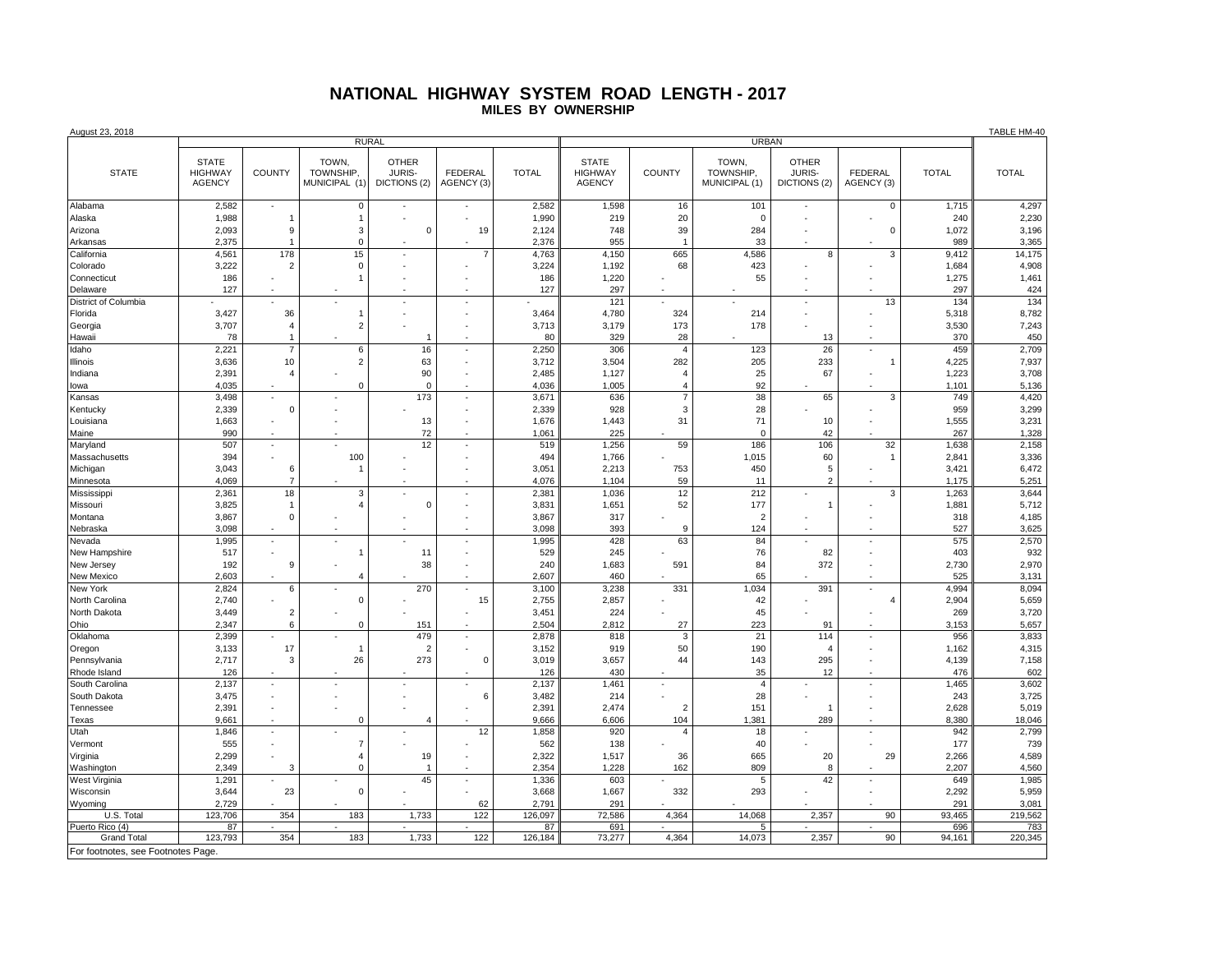## **NATIONAL HIGHWAY SYSTEM ROAD LENGTH - 2017 MILES BY OWNERSHIP**

| <b>OTHER</b><br><b>OTHER</b><br><b>STATE</b><br>TOWN,<br><b>STATE</b><br>TOWN,<br><b>JURIS-</b><br><b>STATE</b><br><b>HIGHWAY</b><br><b>COUNTY</b><br>TOWNSHIP,<br><b>FEDERAL</b><br><b>TOTAL</b><br><b>HIGHWAY</b><br><b>COUNTY</b><br>TOWNSHIP,<br><b>JURIS-</b><br><b>FEDERAL</b><br><b>TOTAL</b><br><b>TOTAL</b><br><b>AGENCY</b><br>MUNICIPAL (1)<br><b>AGENCY</b><br>MUNICIPAL (1)<br>DICTIONS (2)<br>AGENCY (3)<br>DICTIONS (2)<br>AGENCY (3)<br>1,598<br>1,715<br>2,582<br>$\overline{0}$<br>2,582<br>16<br>101<br>$\mathbf 0$<br>4,297<br>$\blacksquare$<br>1,988<br>1,990<br>219<br>20<br>240<br>2,230<br>$\overline{1}$<br>$\mathbf 0$<br>$\mathbf{1}$<br>3,196<br>2,093<br>9<br>3<br>$\mathbf 0$<br>19<br>2,124<br>748<br>39<br>284<br>$\mathbf 0$<br>1,072<br>2,375<br>$\mathbf 0$<br>2,376<br>955<br>33<br>989<br>3,365<br>$\overline{1}$<br>15<br>4,561<br>178<br>4,150<br>665<br>4,586<br>3<br>14,175<br>California<br>$\overline{7}$<br>4,763<br>8<br>9,412<br>ä,<br>$\mathbf 0$<br>3,224<br>4,908<br>Colorado<br>3,222<br>1,192<br>68<br>423<br>1,684<br>$\overline{2}$<br>55<br>186<br>186<br>1,220<br>1,275<br>1,461<br>Connecticut<br>127<br>424<br>127<br>297<br>297<br>Delaware<br>$\overline{\phantom{a}}$<br>13<br>134<br>District of Columbia<br>121<br>134<br>8,782<br>3,427<br>36<br>3,464<br>4,780<br>324<br>214<br>5,318<br>Florida<br>$\mathbf{1}$<br>÷,<br>7,243<br>3,707<br>$\overline{2}$<br>3,713<br>3,179<br>173<br>178<br>3,530<br>Georgia<br>$\overline{4}$<br>450<br>78<br>80<br>329<br>28<br>370<br>Hawaii<br>13<br>$\overline{1}$<br>$\,6\,$<br>26<br>2,709<br>Idaho<br>2,221<br>$\overline{7}$<br>16<br>2,250<br>306<br>123<br>459<br>÷,<br>$\overline{4}$<br>$\overline{2}$<br>63<br>282<br>233<br>4,225<br>7,937<br>3,636<br>10<br>3,712<br>3,504<br>205<br>1<br>3,708<br>2,391<br>90<br>2,485<br>1,127<br>25<br>67<br>1,223<br>$\overline{4}$<br>$\overline{4}$<br>4,035<br>$\mathbf 0$<br>4,036<br>1,005<br>92<br>1,101<br>5,136<br>$\mathbf 0$<br>$\overline{4}$<br>173<br>4,420<br>3,498<br>3,671<br>636<br>38<br>65<br>3<br>749<br>$\overline{7}$<br>$\overline{\phantom{a}}$<br>÷,<br>3,299<br>2,339<br>$\mathbf 0$<br>2,339<br>928<br>$\mathbf{3}$<br>28<br>959<br>3,231<br>1,663<br>13<br>1,676<br>1,443<br>31<br>71<br>10<br>1,555<br>Î.<br>٠<br>990<br>72<br>1,061<br>225<br>42<br>1,328<br>$\mathbf 0$<br>267<br>1,256<br>106<br>2,158<br>507<br>12<br>519<br>59<br>186<br>32<br>1,638<br>ä,<br>ł,<br>3,336<br>Massachusetts<br>394<br>100<br>494<br>1,766<br>1,015<br>60<br>2,841<br>$\overline{1}$<br>3,043<br>2,213<br>6,472<br>Michigan<br>6<br>3,051<br>753<br>450<br>5<br>3,421<br>$\overline{2}$<br>5,251<br>4,069<br>1,104<br>59<br>Minnesota<br>4,076<br>1,175<br>$\overline{7}$<br>11<br>÷.<br>3,644<br>Mississippi<br>2,361<br>18<br>3<br>2,38'<br>1,036<br>12<br>212<br>3<br>1,263<br>×.<br>ä,<br>3,825<br>3,831<br>1,651<br>52<br>177<br>1,881<br>5,712<br>Missouri<br>$\overline{4}$<br>$\mathbf 0$<br>$\mathbf{1}$<br>$\overline{1}$<br>÷.<br>3,867<br>3,867<br>317<br>4,185<br>Montana<br>$\mathbf 0$<br>$\overline{2}$<br>318<br>3,098<br>3,098<br>393<br>124<br>527<br>3,625<br>Nebraska<br>9<br>428<br>2,570<br>1,995<br>1,995<br>63<br>84<br>575<br>÷.<br>÷.<br>932<br>529<br>517<br>11<br>245<br>76<br>82<br>403<br>$\overline{1}$<br>÷,<br>2,970<br>192<br>38<br>240<br>591<br>372<br>9<br>1,683<br>84<br>2,730<br>÷,<br>2,603<br>2,607<br>460<br>65<br>525<br>3,131<br>$\boldsymbol{\Delta}$<br>2,824<br>6<br>270<br>3,100<br>3,238<br>331<br>1,034<br>391<br>4,994<br>8,094<br>L.<br>2,740<br>$\pmb{0}$<br>15<br>2,755<br>2,857<br>42<br>2,904<br>5,659<br>$\overline{A}$<br>3,720<br>3,449<br>$\overline{2}$<br>3,451<br>224<br>45<br>269<br>North Dakota<br>÷.<br>2,347<br>$\Omega$<br>2,504<br>2,812<br>27<br>223<br>3,153<br>5,657<br>6<br>151<br>91<br>479<br>2,878<br>114<br>3,833<br>2,399<br>818<br>21<br>956<br>Oklahoma<br>3<br>4,315<br>Oregon<br>3,133<br>17<br>$\overline{2}$<br>3,152<br>919<br>50<br>190<br>1,162<br>$\overline{1}$<br>$\overline{4}$<br>2,717<br>26<br>273<br>$\mathbf 0$<br>3,657<br>295<br>4,139<br>7,158<br>Pennsylvania<br>3,019<br>44<br>143<br>3<br>602<br>126<br>430<br>35<br>Rhode Island<br>126<br>12<br>476<br>2,137<br>2,137<br>1,461<br>1,465<br>3,602<br>South Carolina<br>i,<br>$\overline{4}$<br>3,475<br>3,482<br>214<br>28<br>3,725<br>South Dakota<br>6<br>243<br>5,019<br>2,391<br>2,391<br>2,474<br>151<br>2,628<br>Tennessee<br>$\overline{2}$<br>$\mathbf{1}$<br>18,046<br>9,661<br>9,666<br>6,606<br>104<br>1,381<br>289<br>8,380<br>$\mathbf 0$<br>$\overline{4}$<br>2,799<br>12<br>1,846<br>1,858<br>920<br>18<br>942<br>ä,<br>$\overline{4}$<br>$\overline{7}$<br>739<br>555<br>562<br>138<br>40<br>177<br>4,589<br>2,299<br>2,322<br>29<br>1,517<br>665<br>20<br>2,266<br>$\overline{4}$<br>19<br>36<br>4,560<br>2,349<br>$\mathbf 0$<br>2,354<br>1,228<br>2,207<br>162<br>809<br>8<br>3<br>1,985<br>1,291<br>45<br>1,336<br>603<br>42<br>649<br>5<br>$\Omega$<br>332<br>293<br>5,959<br>3,644<br>23<br>3,668<br>1,667<br>2,292<br>2,729<br>2,791<br>291<br>291<br>3,081<br>62<br>219,562<br>123,706<br>183<br>122<br>126,097<br>72,586<br>14,068<br>2,357<br>90<br>93,465<br>U.S. Total<br>354<br>1,733<br>4,364<br>783<br>87<br>87<br>691<br>696<br>Puerto Rico (4)<br>354<br>183<br>1,733<br>122<br>2,357<br>90<br><b>Grand Total</b><br>123,793<br>126,184<br>73,277<br>4,364<br>14,073<br>94,161<br>220,345<br>For footnotes, see Footnotes Page. | August 23, 2018 |              |  |  |  |  |  |              |  |  |  |  |  | TABLE HM-40 |
|--------------------------------------------------------------------------------------------------------------------------------------------------------------------------------------------------------------------------------------------------------------------------------------------------------------------------------------------------------------------------------------------------------------------------------------------------------------------------------------------------------------------------------------------------------------------------------------------------------------------------------------------------------------------------------------------------------------------------------------------------------------------------------------------------------------------------------------------------------------------------------------------------------------------------------------------------------------------------------------------------------------------------------------------------------------------------------------------------------------------------------------------------------------------------------------------------------------------------------------------------------------------------------------------------------------------------------------------------------------------------------------------------------------------------------------------------------------------------------------------------------------------------------------------------------------------------------------------------------------------------------------------------------------------------------------------------------------------------------------------------------------------------------------------------------------------------------------------------------------------------------------------------------------------------------------------------------------------------------------------------------------------------------------------------------------------------------------------------------------------------------------------------------------------------------------------------------------------------------------------------------------------------------------------------------------------------------------------------------------------------------------------------------------------------------------------------------------------------------------------------------------------------------------------------------------------------------------------------------------------------------------------------------------------------------------------------------------------------------------------------------------------------------------------------------------------------------------------------------------------------------------------------------------------------------------------------------------------------------------------------------------------------------------------------------------------------------------------------------------------------------------------------------------------------------------------------------------------------------------------------------------------------------------------------------------------------------------------------------------------------------------------------------------------------------------------------------------------------------------------------------------------------------------------------------------------------------------------------------------------------------------------------------------------------------------------------------------------------------------------------------------------------------------------------------------------------------------------------------------------------------------------------------------------------------------------------------------------------------------------------------------------------------------------------------------------------------------------------------------------------------------------------------------------------------------------------------------------------------------------------------------------------------------------------------------------------------------------------------------------------------------------------------------------------------------------------------------------------------------------------------------------------------------------------------------------------------------------------------------------------------------------------------------------------------------------------------------------------------------------------------------------------------------------------------------------------------------------------------------------------------------------------------------------------------------------------------------------------------------------------------------------------------------------------------------------------------------------------------------------------------------------------------------------------------------------------------------------------------------------------------------------------------------------------------------------------------------------------------------------------------------------------------------------------------------------------------------------------------------------------|-----------------|--------------|--|--|--|--|--|--------------|--|--|--|--|--|-------------|
|                                                                                                                                                                                                                                                                                                                                                                                                                                                                                                                                                                                                                                                                                                                                                                                                                                                                                                                                                                                                                                                                                                                                                                                                                                                                                                                                                                                                                                                                                                                                                                                                                                                                                                                                                                                                                                                                                                                                                                                                                                                                                                                                                                                                                                                                                                                                                                                                                                                                                                                                                                                                                                                                                                                                                                                                                                                                                                                                                                                                                                                                                                                                                                                                                                                                                                                                                                                                                                                                                                                                                                                                                                                                                                                                                                                                                                                                                                                                                                                                                                                                                                                                                                                                                                                                                                                                                                                                                                                                                                                                                                                                                                                                                                                                                                                                                                                                                                                                                                                                                                                                                                                                                                                                                                                                                                                                                                                                                                                                                                  |                 | <b>RURAL</b> |  |  |  |  |  | <b>URBAN</b> |  |  |  |  |  |             |
|                                                                                                                                                                                                                                                                                                                                                                                                                                                                                                                                                                                                                                                                                                                                                                                                                                                                                                                                                                                                                                                                                                                                                                                                                                                                                                                                                                                                                                                                                                                                                                                                                                                                                                                                                                                                                                                                                                                                                                                                                                                                                                                                                                                                                                                                                                                                                                                                                                                                                                                                                                                                                                                                                                                                                                                                                                                                                                                                                                                                                                                                                                                                                                                                                                                                                                                                                                                                                                                                                                                                                                                                                                                                                                                                                                                                                                                                                                                                                                                                                                                                                                                                                                                                                                                                                                                                                                                                                                                                                                                                                                                                                                                                                                                                                                                                                                                                                                                                                                                                                                                                                                                                                                                                                                                                                                                                                                                                                                                                                                  |                 |              |  |  |  |  |  |              |  |  |  |  |  |             |
|                                                                                                                                                                                                                                                                                                                                                                                                                                                                                                                                                                                                                                                                                                                                                                                                                                                                                                                                                                                                                                                                                                                                                                                                                                                                                                                                                                                                                                                                                                                                                                                                                                                                                                                                                                                                                                                                                                                                                                                                                                                                                                                                                                                                                                                                                                                                                                                                                                                                                                                                                                                                                                                                                                                                                                                                                                                                                                                                                                                                                                                                                                                                                                                                                                                                                                                                                                                                                                                                                                                                                                                                                                                                                                                                                                                                                                                                                                                                                                                                                                                                                                                                                                                                                                                                                                                                                                                                                                                                                                                                                                                                                                                                                                                                                                                                                                                                                                                                                                                                                                                                                                                                                                                                                                                                                                                                                                                                                                                                                                  | Alabama         |              |  |  |  |  |  |              |  |  |  |  |  |             |
|                                                                                                                                                                                                                                                                                                                                                                                                                                                                                                                                                                                                                                                                                                                                                                                                                                                                                                                                                                                                                                                                                                                                                                                                                                                                                                                                                                                                                                                                                                                                                                                                                                                                                                                                                                                                                                                                                                                                                                                                                                                                                                                                                                                                                                                                                                                                                                                                                                                                                                                                                                                                                                                                                                                                                                                                                                                                                                                                                                                                                                                                                                                                                                                                                                                                                                                                                                                                                                                                                                                                                                                                                                                                                                                                                                                                                                                                                                                                                                                                                                                                                                                                                                                                                                                                                                                                                                                                                                                                                                                                                                                                                                                                                                                                                                                                                                                                                                                                                                                                                                                                                                                                                                                                                                                                                                                                                                                                                                                                                                  | Alaska          |              |  |  |  |  |  |              |  |  |  |  |  |             |
|                                                                                                                                                                                                                                                                                                                                                                                                                                                                                                                                                                                                                                                                                                                                                                                                                                                                                                                                                                                                                                                                                                                                                                                                                                                                                                                                                                                                                                                                                                                                                                                                                                                                                                                                                                                                                                                                                                                                                                                                                                                                                                                                                                                                                                                                                                                                                                                                                                                                                                                                                                                                                                                                                                                                                                                                                                                                                                                                                                                                                                                                                                                                                                                                                                                                                                                                                                                                                                                                                                                                                                                                                                                                                                                                                                                                                                                                                                                                                                                                                                                                                                                                                                                                                                                                                                                                                                                                                                                                                                                                                                                                                                                                                                                                                                                                                                                                                                                                                                                                                                                                                                                                                                                                                                                                                                                                                                                                                                                                                                  | Arizona         |              |  |  |  |  |  |              |  |  |  |  |  |             |
|                                                                                                                                                                                                                                                                                                                                                                                                                                                                                                                                                                                                                                                                                                                                                                                                                                                                                                                                                                                                                                                                                                                                                                                                                                                                                                                                                                                                                                                                                                                                                                                                                                                                                                                                                                                                                                                                                                                                                                                                                                                                                                                                                                                                                                                                                                                                                                                                                                                                                                                                                                                                                                                                                                                                                                                                                                                                                                                                                                                                                                                                                                                                                                                                                                                                                                                                                                                                                                                                                                                                                                                                                                                                                                                                                                                                                                                                                                                                                                                                                                                                                                                                                                                                                                                                                                                                                                                                                                                                                                                                                                                                                                                                                                                                                                                                                                                                                                                                                                                                                                                                                                                                                                                                                                                                                                                                                                                                                                                                                                  | Arkansas        |              |  |  |  |  |  |              |  |  |  |  |  |             |
|                                                                                                                                                                                                                                                                                                                                                                                                                                                                                                                                                                                                                                                                                                                                                                                                                                                                                                                                                                                                                                                                                                                                                                                                                                                                                                                                                                                                                                                                                                                                                                                                                                                                                                                                                                                                                                                                                                                                                                                                                                                                                                                                                                                                                                                                                                                                                                                                                                                                                                                                                                                                                                                                                                                                                                                                                                                                                                                                                                                                                                                                                                                                                                                                                                                                                                                                                                                                                                                                                                                                                                                                                                                                                                                                                                                                                                                                                                                                                                                                                                                                                                                                                                                                                                                                                                                                                                                                                                                                                                                                                                                                                                                                                                                                                                                                                                                                                                                                                                                                                                                                                                                                                                                                                                                                                                                                                                                                                                                                                                  |                 |              |  |  |  |  |  |              |  |  |  |  |  |             |
|                                                                                                                                                                                                                                                                                                                                                                                                                                                                                                                                                                                                                                                                                                                                                                                                                                                                                                                                                                                                                                                                                                                                                                                                                                                                                                                                                                                                                                                                                                                                                                                                                                                                                                                                                                                                                                                                                                                                                                                                                                                                                                                                                                                                                                                                                                                                                                                                                                                                                                                                                                                                                                                                                                                                                                                                                                                                                                                                                                                                                                                                                                                                                                                                                                                                                                                                                                                                                                                                                                                                                                                                                                                                                                                                                                                                                                                                                                                                                                                                                                                                                                                                                                                                                                                                                                                                                                                                                                                                                                                                                                                                                                                                                                                                                                                                                                                                                                                                                                                                                                                                                                                                                                                                                                                                                                                                                                                                                                                                                                  |                 |              |  |  |  |  |  |              |  |  |  |  |  |             |
|                                                                                                                                                                                                                                                                                                                                                                                                                                                                                                                                                                                                                                                                                                                                                                                                                                                                                                                                                                                                                                                                                                                                                                                                                                                                                                                                                                                                                                                                                                                                                                                                                                                                                                                                                                                                                                                                                                                                                                                                                                                                                                                                                                                                                                                                                                                                                                                                                                                                                                                                                                                                                                                                                                                                                                                                                                                                                                                                                                                                                                                                                                                                                                                                                                                                                                                                                                                                                                                                                                                                                                                                                                                                                                                                                                                                                                                                                                                                                                                                                                                                                                                                                                                                                                                                                                                                                                                                                                                                                                                                                                                                                                                                                                                                                                                                                                                                                                                                                                                                                                                                                                                                                                                                                                                                                                                                                                                                                                                                                                  |                 |              |  |  |  |  |  |              |  |  |  |  |  |             |
|                                                                                                                                                                                                                                                                                                                                                                                                                                                                                                                                                                                                                                                                                                                                                                                                                                                                                                                                                                                                                                                                                                                                                                                                                                                                                                                                                                                                                                                                                                                                                                                                                                                                                                                                                                                                                                                                                                                                                                                                                                                                                                                                                                                                                                                                                                                                                                                                                                                                                                                                                                                                                                                                                                                                                                                                                                                                                                                                                                                                                                                                                                                                                                                                                                                                                                                                                                                                                                                                                                                                                                                                                                                                                                                                                                                                                                                                                                                                                                                                                                                                                                                                                                                                                                                                                                                                                                                                                                                                                                                                                                                                                                                                                                                                                                                                                                                                                                                                                                                                                                                                                                                                                                                                                                                                                                                                                                                                                                                                                                  |                 |              |  |  |  |  |  |              |  |  |  |  |  |             |
|                                                                                                                                                                                                                                                                                                                                                                                                                                                                                                                                                                                                                                                                                                                                                                                                                                                                                                                                                                                                                                                                                                                                                                                                                                                                                                                                                                                                                                                                                                                                                                                                                                                                                                                                                                                                                                                                                                                                                                                                                                                                                                                                                                                                                                                                                                                                                                                                                                                                                                                                                                                                                                                                                                                                                                                                                                                                                                                                                                                                                                                                                                                                                                                                                                                                                                                                                                                                                                                                                                                                                                                                                                                                                                                                                                                                                                                                                                                                                                                                                                                                                                                                                                                                                                                                                                                                                                                                                                                                                                                                                                                                                                                                                                                                                                                                                                                                                                                                                                                                                                                                                                                                                                                                                                                                                                                                                                                                                                                                                                  |                 |              |  |  |  |  |  |              |  |  |  |  |  |             |
|                                                                                                                                                                                                                                                                                                                                                                                                                                                                                                                                                                                                                                                                                                                                                                                                                                                                                                                                                                                                                                                                                                                                                                                                                                                                                                                                                                                                                                                                                                                                                                                                                                                                                                                                                                                                                                                                                                                                                                                                                                                                                                                                                                                                                                                                                                                                                                                                                                                                                                                                                                                                                                                                                                                                                                                                                                                                                                                                                                                                                                                                                                                                                                                                                                                                                                                                                                                                                                                                                                                                                                                                                                                                                                                                                                                                                                                                                                                                                                                                                                                                                                                                                                                                                                                                                                                                                                                                                                                                                                                                                                                                                                                                                                                                                                                                                                                                                                                                                                                                                                                                                                                                                                                                                                                                                                                                                                                                                                                                                                  |                 |              |  |  |  |  |  |              |  |  |  |  |  |             |
|                                                                                                                                                                                                                                                                                                                                                                                                                                                                                                                                                                                                                                                                                                                                                                                                                                                                                                                                                                                                                                                                                                                                                                                                                                                                                                                                                                                                                                                                                                                                                                                                                                                                                                                                                                                                                                                                                                                                                                                                                                                                                                                                                                                                                                                                                                                                                                                                                                                                                                                                                                                                                                                                                                                                                                                                                                                                                                                                                                                                                                                                                                                                                                                                                                                                                                                                                                                                                                                                                                                                                                                                                                                                                                                                                                                                                                                                                                                                                                                                                                                                                                                                                                                                                                                                                                                                                                                                                                                                                                                                                                                                                                                                                                                                                                                                                                                                                                                                                                                                                                                                                                                                                                                                                                                                                                                                                                                                                                                                                                  |                 |              |  |  |  |  |  |              |  |  |  |  |  |             |
|                                                                                                                                                                                                                                                                                                                                                                                                                                                                                                                                                                                                                                                                                                                                                                                                                                                                                                                                                                                                                                                                                                                                                                                                                                                                                                                                                                                                                                                                                                                                                                                                                                                                                                                                                                                                                                                                                                                                                                                                                                                                                                                                                                                                                                                                                                                                                                                                                                                                                                                                                                                                                                                                                                                                                                                                                                                                                                                                                                                                                                                                                                                                                                                                                                                                                                                                                                                                                                                                                                                                                                                                                                                                                                                                                                                                                                                                                                                                                                                                                                                                                                                                                                                                                                                                                                                                                                                                                                                                                                                                                                                                                                                                                                                                                                                                                                                                                                                                                                                                                                                                                                                                                                                                                                                                                                                                                                                                                                                                                                  |                 |              |  |  |  |  |  |              |  |  |  |  |  |             |
|                                                                                                                                                                                                                                                                                                                                                                                                                                                                                                                                                                                                                                                                                                                                                                                                                                                                                                                                                                                                                                                                                                                                                                                                                                                                                                                                                                                                                                                                                                                                                                                                                                                                                                                                                                                                                                                                                                                                                                                                                                                                                                                                                                                                                                                                                                                                                                                                                                                                                                                                                                                                                                                                                                                                                                                                                                                                                                                                                                                                                                                                                                                                                                                                                                                                                                                                                                                                                                                                                                                                                                                                                                                                                                                                                                                                                                                                                                                                                                                                                                                                                                                                                                                                                                                                                                                                                                                                                                                                                                                                                                                                                                                                                                                                                                                                                                                                                                                                                                                                                                                                                                                                                                                                                                                                                                                                                                                                                                                                                                  | Illinois        |              |  |  |  |  |  |              |  |  |  |  |  |             |
|                                                                                                                                                                                                                                                                                                                                                                                                                                                                                                                                                                                                                                                                                                                                                                                                                                                                                                                                                                                                                                                                                                                                                                                                                                                                                                                                                                                                                                                                                                                                                                                                                                                                                                                                                                                                                                                                                                                                                                                                                                                                                                                                                                                                                                                                                                                                                                                                                                                                                                                                                                                                                                                                                                                                                                                                                                                                                                                                                                                                                                                                                                                                                                                                                                                                                                                                                                                                                                                                                                                                                                                                                                                                                                                                                                                                                                                                                                                                                                                                                                                                                                                                                                                                                                                                                                                                                                                                                                                                                                                                                                                                                                                                                                                                                                                                                                                                                                                                                                                                                                                                                                                                                                                                                                                                                                                                                                                                                                                                                                  | Indiana         |              |  |  |  |  |  |              |  |  |  |  |  |             |
|                                                                                                                                                                                                                                                                                                                                                                                                                                                                                                                                                                                                                                                                                                                                                                                                                                                                                                                                                                                                                                                                                                                                                                                                                                                                                                                                                                                                                                                                                                                                                                                                                                                                                                                                                                                                                                                                                                                                                                                                                                                                                                                                                                                                                                                                                                                                                                                                                                                                                                                                                                                                                                                                                                                                                                                                                                                                                                                                                                                                                                                                                                                                                                                                                                                                                                                                                                                                                                                                                                                                                                                                                                                                                                                                                                                                                                                                                                                                                                                                                                                                                                                                                                                                                                                                                                                                                                                                                                                                                                                                                                                                                                                                                                                                                                                                                                                                                                                                                                                                                                                                                                                                                                                                                                                                                                                                                                                                                                                                                                  | lowa            |              |  |  |  |  |  |              |  |  |  |  |  |             |
|                                                                                                                                                                                                                                                                                                                                                                                                                                                                                                                                                                                                                                                                                                                                                                                                                                                                                                                                                                                                                                                                                                                                                                                                                                                                                                                                                                                                                                                                                                                                                                                                                                                                                                                                                                                                                                                                                                                                                                                                                                                                                                                                                                                                                                                                                                                                                                                                                                                                                                                                                                                                                                                                                                                                                                                                                                                                                                                                                                                                                                                                                                                                                                                                                                                                                                                                                                                                                                                                                                                                                                                                                                                                                                                                                                                                                                                                                                                                                                                                                                                                                                                                                                                                                                                                                                                                                                                                                                                                                                                                                                                                                                                                                                                                                                                                                                                                                                                                                                                                                                                                                                                                                                                                                                                                                                                                                                                                                                                                                                  | Kansas          |              |  |  |  |  |  |              |  |  |  |  |  |             |
|                                                                                                                                                                                                                                                                                                                                                                                                                                                                                                                                                                                                                                                                                                                                                                                                                                                                                                                                                                                                                                                                                                                                                                                                                                                                                                                                                                                                                                                                                                                                                                                                                                                                                                                                                                                                                                                                                                                                                                                                                                                                                                                                                                                                                                                                                                                                                                                                                                                                                                                                                                                                                                                                                                                                                                                                                                                                                                                                                                                                                                                                                                                                                                                                                                                                                                                                                                                                                                                                                                                                                                                                                                                                                                                                                                                                                                                                                                                                                                                                                                                                                                                                                                                                                                                                                                                                                                                                                                                                                                                                                                                                                                                                                                                                                                                                                                                                                                                                                                                                                                                                                                                                                                                                                                                                                                                                                                                                                                                                                                  | Kentucky        |              |  |  |  |  |  |              |  |  |  |  |  |             |
|                                                                                                                                                                                                                                                                                                                                                                                                                                                                                                                                                                                                                                                                                                                                                                                                                                                                                                                                                                                                                                                                                                                                                                                                                                                                                                                                                                                                                                                                                                                                                                                                                                                                                                                                                                                                                                                                                                                                                                                                                                                                                                                                                                                                                                                                                                                                                                                                                                                                                                                                                                                                                                                                                                                                                                                                                                                                                                                                                                                                                                                                                                                                                                                                                                                                                                                                                                                                                                                                                                                                                                                                                                                                                                                                                                                                                                                                                                                                                                                                                                                                                                                                                                                                                                                                                                                                                                                                                                                                                                                                                                                                                                                                                                                                                                                                                                                                                                                                                                                                                                                                                                                                                                                                                                                                                                                                                                                                                                                                                                  | Louisiana       |              |  |  |  |  |  |              |  |  |  |  |  |             |
|                                                                                                                                                                                                                                                                                                                                                                                                                                                                                                                                                                                                                                                                                                                                                                                                                                                                                                                                                                                                                                                                                                                                                                                                                                                                                                                                                                                                                                                                                                                                                                                                                                                                                                                                                                                                                                                                                                                                                                                                                                                                                                                                                                                                                                                                                                                                                                                                                                                                                                                                                                                                                                                                                                                                                                                                                                                                                                                                                                                                                                                                                                                                                                                                                                                                                                                                                                                                                                                                                                                                                                                                                                                                                                                                                                                                                                                                                                                                                                                                                                                                                                                                                                                                                                                                                                                                                                                                                                                                                                                                                                                                                                                                                                                                                                                                                                                                                                                                                                                                                                                                                                                                                                                                                                                                                                                                                                                                                                                                                                  | Maine           |              |  |  |  |  |  |              |  |  |  |  |  |             |
|                                                                                                                                                                                                                                                                                                                                                                                                                                                                                                                                                                                                                                                                                                                                                                                                                                                                                                                                                                                                                                                                                                                                                                                                                                                                                                                                                                                                                                                                                                                                                                                                                                                                                                                                                                                                                                                                                                                                                                                                                                                                                                                                                                                                                                                                                                                                                                                                                                                                                                                                                                                                                                                                                                                                                                                                                                                                                                                                                                                                                                                                                                                                                                                                                                                                                                                                                                                                                                                                                                                                                                                                                                                                                                                                                                                                                                                                                                                                                                                                                                                                                                                                                                                                                                                                                                                                                                                                                                                                                                                                                                                                                                                                                                                                                                                                                                                                                                                                                                                                                                                                                                                                                                                                                                                                                                                                                                                                                                                                                                  | Maryland        |              |  |  |  |  |  |              |  |  |  |  |  |             |
|                                                                                                                                                                                                                                                                                                                                                                                                                                                                                                                                                                                                                                                                                                                                                                                                                                                                                                                                                                                                                                                                                                                                                                                                                                                                                                                                                                                                                                                                                                                                                                                                                                                                                                                                                                                                                                                                                                                                                                                                                                                                                                                                                                                                                                                                                                                                                                                                                                                                                                                                                                                                                                                                                                                                                                                                                                                                                                                                                                                                                                                                                                                                                                                                                                                                                                                                                                                                                                                                                                                                                                                                                                                                                                                                                                                                                                                                                                                                                                                                                                                                                                                                                                                                                                                                                                                                                                                                                                                                                                                                                                                                                                                                                                                                                                                                                                                                                                                                                                                                                                                                                                                                                                                                                                                                                                                                                                                                                                                                                                  |                 |              |  |  |  |  |  |              |  |  |  |  |  |             |
|                                                                                                                                                                                                                                                                                                                                                                                                                                                                                                                                                                                                                                                                                                                                                                                                                                                                                                                                                                                                                                                                                                                                                                                                                                                                                                                                                                                                                                                                                                                                                                                                                                                                                                                                                                                                                                                                                                                                                                                                                                                                                                                                                                                                                                                                                                                                                                                                                                                                                                                                                                                                                                                                                                                                                                                                                                                                                                                                                                                                                                                                                                                                                                                                                                                                                                                                                                                                                                                                                                                                                                                                                                                                                                                                                                                                                                                                                                                                                                                                                                                                                                                                                                                                                                                                                                                                                                                                                                                                                                                                                                                                                                                                                                                                                                                                                                                                                                                                                                                                                                                                                                                                                                                                                                                                                                                                                                                                                                                                                                  |                 |              |  |  |  |  |  |              |  |  |  |  |  |             |
|                                                                                                                                                                                                                                                                                                                                                                                                                                                                                                                                                                                                                                                                                                                                                                                                                                                                                                                                                                                                                                                                                                                                                                                                                                                                                                                                                                                                                                                                                                                                                                                                                                                                                                                                                                                                                                                                                                                                                                                                                                                                                                                                                                                                                                                                                                                                                                                                                                                                                                                                                                                                                                                                                                                                                                                                                                                                                                                                                                                                                                                                                                                                                                                                                                                                                                                                                                                                                                                                                                                                                                                                                                                                                                                                                                                                                                                                                                                                                                                                                                                                                                                                                                                                                                                                                                                                                                                                                                                                                                                                                                                                                                                                                                                                                                                                                                                                                                                                                                                                                                                                                                                                                                                                                                                                                                                                                                                                                                                                                                  |                 |              |  |  |  |  |  |              |  |  |  |  |  |             |
|                                                                                                                                                                                                                                                                                                                                                                                                                                                                                                                                                                                                                                                                                                                                                                                                                                                                                                                                                                                                                                                                                                                                                                                                                                                                                                                                                                                                                                                                                                                                                                                                                                                                                                                                                                                                                                                                                                                                                                                                                                                                                                                                                                                                                                                                                                                                                                                                                                                                                                                                                                                                                                                                                                                                                                                                                                                                                                                                                                                                                                                                                                                                                                                                                                                                                                                                                                                                                                                                                                                                                                                                                                                                                                                                                                                                                                                                                                                                                                                                                                                                                                                                                                                                                                                                                                                                                                                                                                                                                                                                                                                                                                                                                                                                                                                                                                                                                                                                                                                                                                                                                                                                                                                                                                                                                                                                                                                                                                                                                                  |                 |              |  |  |  |  |  |              |  |  |  |  |  |             |
|                                                                                                                                                                                                                                                                                                                                                                                                                                                                                                                                                                                                                                                                                                                                                                                                                                                                                                                                                                                                                                                                                                                                                                                                                                                                                                                                                                                                                                                                                                                                                                                                                                                                                                                                                                                                                                                                                                                                                                                                                                                                                                                                                                                                                                                                                                                                                                                                                                                                                                                                                                                                                                                                                                                                                                                                                                                                                                                                                                                                                                                                                                                                                                                                                                                                                                                                                                                                                                                                                                                                                                                                                                                                                                                                                                                                                                                                                                                                                                                                                                                                                                                                                                                                                                                                                                                                                                                                                                                                                                                                                                                                                                                                                                                                                                                                                                                                                                                                                                                                                                                                                                                                                                                                                                                                                                                                                                                                                                                                                                  |                 |              |  |  |  |  |  |              |  |  |  |  |  |             |
|                                                                                                                                                                                                                                                                                                                                                                                                                                                                                                                                                                                                                                                                                                                                                                                                                                                                                                                                                                                                                                                                                                                                                                                                                                                                                                                                                                                                                                                                                                                                                                                                                                                                                                                                                                                                                                                                                                                                                                                                                                                                                                                                                                                                                                                                                                                                                                                                                                                                                                                                                                                                                                                                                                                                                                                                                                                                                                                                                                                                                                                                                                                                                                                                                                                                                                                                                                                                                                                                                                                                                                                                                                                                                                                                                                                                                                                                                                                                                                                                                                                                                                                                                                                                                                                                                                                                                                                                                                                                                                                                                                                                                                                                                                                                                                                                                                                                                                                                                                                                                                                                                                                                                                                                                                                                                                                                                                                                                                                                                                  |                 |              |  |  |  |  |  |              |  |  |  |  |  |             |
|                                                                                                                                                                                                                                                                                                                                                                                                                                                                                                                                                                                                                                                                                                                                                                                                                                                                                                                                                                                                                                                                                                                                                                                                                                                                                                                                                                                                                                                                                                                                                                                                                                                                                                                                                                                                                                                                                                                                                                                                                                                                                                                                                                                                                                                                                                                                                                                                                                                                                                                                                                                                                                                                                                                                                                                                                                                                                                                                                                                                                                                                                                                                                                                                                                                                                                                                                                                                                                                                                                                                                                                                                                                                                                                                                                                                                                                                                                                                                                                                                                                                                                                                                                                                                                                                                                                                                                                                                                                                                                                                                                                                                                                                                                                                                                                                                                                                                                                                                                                                                                                                                                                                                                                                                                                                                                                                                                                                                                                                                                  | Nevada          |              |  |  |  |  |  |              |  |  |  |  |  |             |
|                                                                                                                                                                                                                                                                                                                                                                                                                                                                                                                                                                                                                                                                                                                                                                                                                                                                                                                                                                                                                                                                                                                                                                                                                                                                                                                                                                                                                                                                                                                                                                                                                                                                                                                                                                                                                                                                                                                                                                                                                                                                                                                                                                                                                                                                                                                                                                                                                                                                                                                                                                                                                                                                                                                                                                                                                                                                                                                                                                                                                                                                                                                                                                                                                                                                                                                                                                                                                                                                                                                                                                                                                                                                                                                                                                                                                                                                                                                                                                                                                                                                                                                                                                                                                                                                                                                                                                                                                                                                                                                                                                                                                                                                                                                                                                                                                                                                                                                                                                                                                                                                                                                                                                                                                                                                                                                                                                                                                                                                                                  | New Hampshire   |              |  |  |  |  |  |              |  |  |  |  |  |             |
|                                                                                                                                                                                                                                                                                                                                                                                                                                                                                                                                                                                                                                                                                                                                                                                                                                                                                                                                                                                                                                                                                                                                                                                                                                                                                                                                                                                                                                                                                                                                                                                                                                                                                                                                                                                                                                                                                                                                                                                                                                                                                                                                                                                                                                                                                                                                                                                                                                                                                                                                                                                                                                                                                                                                                                                                                                                                                                                                                                                                                                                                                                                                                                                                                                                                                                                                                                                                                                                                                                                                                                                                                                                                                                                                                                                                                                                                                                                                                                                                                                                                                                                                                                                                                                                                                                                                                                                                                                                                                                                                                                                                                                                                                                                                                                                                                                                                                                                                                                                                                                                                                                                                                                                                                                                                                                                                                                                                                                                                                                  | New Jersey      |              |  |  |  |  |  |              |  |  |  |  |  |             |
|                                                                                                                                                                                                                                                                                                                                                                                                                                                                                                                                                                                                                                                                                                                                                                                                                                                                                                                                                                                                                                                                                                                                                                                                                                                                                                                                                                                                                                                                                                                                                                                                                                                                                                                                                                                                                                                                                                                                                                                                                                                                                                                                                                                                                                                                                                                                                                                                                                                                                                                                                                                                                                                                                                                                                                                                                                                                                                                                                                                                                                                                                                                                                                                                                                                                                                                                                                                                                                                                                                                                                                                                                                                                                                                                                                                                                                                                                                                                                                                                                                                                                                                                                                                                                                                                                                                                                                                                                                                                                                                                                                                                                                                                                                                                                                                                                                                                                                                                                                                                                                                                                                                                                                                                                                                                                                                                                                                                                                                                                                  | New Mexico      |              |  |  |  |  |  |              |  |  |  |  |  |             |
|                                                                                                                                                                                                                                                                                                                                                                                                                                                                                                                                                                                                                                                                                                                                                                                                                                                                                                                                                                                                                                                                                                                                                                                                                                                                                                                                                                                                                                                                                                                                                                                                                                                                                                                                                                                                                                                                                                                                                                                                                                                                                                                                                                                                                                                                                                                                                                                                                                                                                                                                                                                                                                                                                                                                                                                                                                                                                                                                                                                                                                                                                                                                                                                                                                                                                                                                                                                                                                                                                                                                                                                                                                                                                                                                                                                                                                                                                                                                                                                                                                                                                                                                                                                                                                                                                                                                                                                                                                                                                                                                                                                                                                                                                                                                                                                                                                                                                                                                                                                                                                                                                                                                                                                                                                                                                                                                                                                                                                                                                                  | New York        |              |  |  |  |  |  |              |  |  |  |  |  |             |
|                                                                                                                                                                                                                                                                                                                                                                                                                                                                                                                                                                                                                                                                                                                                                                                                                                                                                                                                                                                                                                                                                                                                                                                                                                                                                                                                                                                                                                                                                                                                                                                                                                                                                                                                                                                                                                                                                                                                                                                                                                                                                                                                                                                                                                                                                                                                                                                                                                                                                                                                                                                                                                                                                                                                                                                                                                                                                                                                                                                                                                                                                                                                                                                                                                                                                                                                                                                                                                                                                                                                                                                                                                                                                                                                                                                                                                                                                                                                                                                                                                                                                                                                                                                                                                                                                                                                                                                                                                                                                                                                                                                                                                                                                                                                                                                                                                                                                                                                                                                                                                                                                                                                                                                                                                                                                                                                                                                                                                                                                                  | North Carolina  |              |  |  |  |  |  |              |  |  |  |  |  |             |
|                                                                                                                                                                                                                                                                                                                                                                                                                                                                                                                                                                                                                                                                                                                                                                                                                                                                                                                                                                                                                                                                                                                                                                                                                                                                                                                                                                                                                                                                                                                                                                                                                                                                                                                                                                                                                                                                                                                                                                                                                                                                                                                                                                                                                                                                                                                                                                                                                                                                                                                                                                                                                                                                                                                                                                                                                                                                                                                                                                                                                                                                                                                                                                                                                                                                                                                                                                                                                                                                                                                                                                                                                                                                                                                                                                                                                                                                                                                                                                                                                                                                                                                                                                                                                                                                                                                                                                                                                                                                                                                                                                                                                                                                                                                                                                                                                                                                                                                                                                                                                                                                                                                                                                                                                                                                                                                                                                                                                                                                                                  |                 |              |  |  |  |  |  |              |  |  |  |  |  |             |
|                                                                                                                                                                                                                                                                                                                                                                                                                                                                                                                                                                                                                                                                                                                                                                                                                                                                                                                                                                                                                                                                                                                                                                                                                                                                                                                                                                                                                                                                                                                                                                                                                                                                                                                                                                                                                                                                                                                                                                                                                                                                                                                                                                                                                                                                                                                                                                                                                                                                                                                                                                                                                                                                                                                                                                                                                                                                                                                                                                                                                                                                                                                                                                                                                                                                                                                                                                                                                                                                                                                                                                                                                                                                                                                                                                                                                                                                                                                                                                                                                                                                                                                                                                                                                                                                                                                                                                                                                                                                                                                                                                                                                                                                                                                                                                                                                                                                                                                                                                                                                                                                                                                                                                                                                                                                                                                                                                                                                                                                                                  | Ohio            |              |  |  |  |  |  |              |  |  |  |  |  |             |
|                                                                                                                                                                                                                                                                                                                                                                                                                                                                                                                                                                                                                                                                                                                                                                                                                                                                                                                                                                                                                                                                                                                                                                                                                                                                                                                                                                                                                                                                                                                                                                                                                                                                                                                                                                                                                                                                                                                                                                                                                                                                                                                                                                                                                                                                                                                                                                                                                                                                                                                                                                                                                                                                                                                                                                                                                                                                                                                                                                                                                                                                                                                                                                                                                                                                                                                                                                                                                                                                                                                                                                                                                                                                                                                                                                                                                                                                                                                                                                                                                                                                                                                                                                                                                                                                                                                                                                                                                                                                                                                                                                                                                                                                                                                                                                                                                                                                                                                                                                                                                                                                                                                                                                                                                                                                                                                                                                                                                                                                                                  |                 |              |  |  |  |  |  |              |  |  |  |  |  |             |
|                                                                                                                                                                                                                                                                                                                                                                                                                                                                                                                                                                                                                                                                                                                                                                                                                                                                                                                                                                                                                                                                                                                                                                                                                                                                                                                                                                                                                                                                                                                                                                                                                                                                                                                                                                                                                                                                                                                                                                                                                                                                                                                                                                                                                                                                                                                                                                                                                                                                                                                                                                                                                                                                                                                                                                                                                                                                                                                                                                                                                                                                                                                                                                                                                                                                                                                                                                                                                                                                                                                                                                                                                                                                                                                                                                                                                                                                                                                                                                                                                                                                                                                                                                                                                                                                                                                                                                                                                                                                                                                                                                                                                                                                                                                                                                                                                                                                                                                                                                                                                                                                                                                                                                                                                                                                                                                                                                                                                                                                                                  |                 |              |  |  |  |  |  |              |  |  |  |  |  |             |
|                                                                                                                                                                                                                                                                                                                                                                                                                                                                                                                                                                                                                                                                                                                                                                                                                                                                                                                                                                                                                                                                                                                                                                                                                                                                                                                                                                                                                                                                                                                                                                                                                                                                                                                                                                                                                                                                                                                                                                                                                                                                                                                                                                                                                                                                                                                                                                                                                                                                                                                                                                                                                                                                                                                                                                                                                                                                                                                                                                                                                                                                                                                                                                                                                                                                                                                                                                                                                                                                                                                                                                                                                                                                                                                                                                                                                                                                                                                                                                                                                                                                                                                                                                                                                                                                                                                                                                                                                                                                                                                                                                                                                                                                                                                                                                                                                                                                                                                                                                                                                                                                                                                                                                                                                                                                                                                                                                                                                                                                                                  |                 |              |  |  |  |  |  |              |  |  |  |  |  |             |
|                                                                                                                                                                                                                                                                                                                                                                                                                                                                                                                                                                                                                                                                                                                                                                                                                                                                                                                                                                                                                                                                                                                                                                                                                                                                                                                                                                                                                                                                                                                                                                                                                                                                                                                                                                                                                                                                                                                                                                                                                                                                                                                                                                                                                                                                                                                                                                                                                                                                                                                                                                                                                                                                                                                                                                                                                                                                                                                                                                                                                                                                                                                                                                                                                                                                                                                                                                                                                                                                                                                                                                                                                                                                                                                                                                                                                                                                                                                                                                                                                                                                                                                                                                                                                                                                                                                                                                                                                                                                                                                                                                                                                                                                                                                                                                                                                                                                                                                                                                                                                                                                                                                                                                                                                                                                                                                                                                                                                                                                                                  |                 |              |  |  |  |  |  |              |  |  |  |  |  |             |
|                                                                                                                                                                                                                                                                                                                                                                                                                                                                                                                                                                                                                                                                                                                                                                                                                                                                                                                                                                                                                                                                                                                                                                                                                                                                                                                                                                                                                                                                                                                                                                                                                                                                                                                                                                                                                                                                                                                                                                                                                                                                                                                                                                                                                                                                                                                                                                                                                                                                                                                                                                                                                                                                                                                                                                                                                                                                                                                                                                                                                                                                                                                                                                                                                                                                                                                                                                                                                                                                                                                                                                                                                                                                                                                                                                                                                                                                                                                                                                                                                                                                                                                                                                                                                                                                                                                                                                                                                                                                                                                                                                                                                                                                                                                                                                                                                                                                                                                                                                                                                                                                                                                                                                                                                                                                                                                                                                                                                                                                                                  |                 |              |  |  |  |  |  |              |  |  |  |  |  |             |
|                                                                                                                                                                                                                                                                                                                                                                                                                                                                                                                                                                                                                                                                                                                                                                                                                                                                                                                                                                                                                                                                                                                                                                                                                                                                                                                                                                                                                                                                                                                                                                                                                                                                                                                                                                                                                                                                                                                                                                                                                                                                                                                                                                                                                                                                                                                                                                                                                                                                                                                                                                                                                                                                                                                                                                                                                                                                                                                                                                                                                                                                                                                                                                                                                                                                                                                                                                                                                                                                                                                                                                                                                                                                                                                                                                                                                                                                                                                                                                                                                                                                                                                                                                                                                                                                                                                                                                                                                                                                                                                                                                                                                                                                                                                                                                                                                                                                                                                                                                                                                                                                                                                                                                                                                                                                                                                                                                                                                                                                                                  |                 |              |  |  |  |  |  |              |  |  |  |  |  |             |
|                                                                                                                                                                                                                                                                                                                                                                                                                                                                                                                                                                                                                                                                                                                                                                                                                                                                                                                                                                                                                                                                                                                                                                                                                                                                                                                                                                                                                                                                                                                                                                                                                                                                                                                                                                                                                                                                                                                                                                                                                                                                                                                                                                                                                                                                                                                                                                                                                                                                                                                                                                                                                                                                                                                                                                                                                                                                                                                                                                                                                                                                                                                                                                                                                                                                                                                                                                                                                                                                                                                                                                                                                                                                                                                                                                                                                                                                                                                                                                                                                                                                                                                                                                                                                                                                                                                                                                                                                                                                                                                                                                                                                                                                                                                                                                                                                                                                                                                                                                                                                                                                                                                                                                                                                                                                                                                                                                                                                                                                                                  | Texas           |              |  |  |  |  |  |              |  |  |  |  |  |             |
|                                                                                                                                                                                                                                                                                                                                                                                                                                                                                                                                                                                                                                                                                                                                                                                                                                                                                                                                                                                                                                                                                                                                                                                                                                                                                                                                                                                                                                                                                                                                                                                                                                                                                                                                                                                                                                                                                                                                                                                                                                                                                                                                                                                                                                                                                                                                                                                                                                                                                                                                                                                                                                                                                                                                                                                                                                                                                                                                                                                                                                                                                                                                                                                                                                                                                                                                                                                                                                                                                                                                                                                                                                                                                                                                                                                                                                                                                                                                                                                                                                                                                                                                                                                                                                                                                                                                                                                                                                                                                                                                                                                                                                                                                                                                                                                                                                                                                                                                                                                                                                                                                                                                                                                                                                                                                                                                                                                                                                                                                                  | Utah            |              |  |  |  |  |  |              |  |  |  |  |  |             |
|                                                                                                                                                                                                                                                                                                                                                                                                                                                                                                                                                                                                                                                                                                                                                                                                                                                                                                                                                                                                                                                                                                                                                                                                                                                                                                                                                                                                                                                                                                                                                                                                                                                                                                                                                                                                                                                                                                                                                                                                                                                                                                                                                                                                                                                                                                                                                                                                                                                                                                                                                                                                                                                                                                                                                                                                                                                                                                                                                                                                                                                                                                                                                                                                                                                                                                                                                                                                                                                                                                                                                                                                                                                                                                                                                                                                                                                                                                                                                                                                                                                                                                                                                                                                                                                                                                                                                                                                                                                                                                                                                                                                                                                                                                                                                                                                                                                                                                                                                                                                                                                                                                                                                                                                                                                                                                                                                                                                                                                                                                  | Vermont         |              |  |  |  |  |  |              |  |  |  |  |  |             |
|                                                                                                                                                                                                                                                                                                                                                                                                                                                                                                                                                                                                                                                                                                                                                                                                                                                                                                                                                                                                                                                                                                                                                                                                                                                                                                                                                                                                                                                                                                                                                                                                                                                                                                                                                                                                                                                                                                                                                                                                                                                                                                                                                                                                                                                                                                                                                                                                                                                                                                                                                                                                                                                                                                                                                                                                                                                                                                                                                                                                                                                                                                                                                                                                                                                                                                                                                                                                                                                                                                                                                                                                                                                                                                                                                                                                                                                                                                                                                                                                                                                                                                                                                                                                                                                                                                                                                                                                                                                                                                                                                                                                                                                                                                                                                                                                                                                                                                                                                                                                                                                                                                                                                                                                                                                                                                                                                                                                                                                                                                  | Virginia        |              |  |  |  |  |  |              |  |  |  |  |  |             |
|                                                                                                                                                                                                                                                                                                                                                                                                                                                                                                                                                                                                                                                                                                                                                                                                                                                                                                                                                                                                                                                                                                                                                                                                                                                                                                                                                                                                                                                                                                                                                                                                                                                                                                                                                                                                                                                                                                                                                                                                                                                                                                                                                                                                                                                                                                                                                                                                                                                                                                                                                                                                                                                                                                                                                                                                                                                                                                                                                                                                                                                                                                                                                                                                                                                                                                                                                                                                                                                                                                                                                                                                                                                                                                                                                                                                                                                                                                                                                                                                                                                                                                                                                                                                                                                                                                                                                                                                                                                                                                                                                                                                                                                                                                                                                                                                                                                                                                                                                                                                                                                                                                                                                                                                                                                                                                                                                                                                                                                                                                  | Washington      |              |  |  |  |  |  |              |  |  |  |  |  |             |
|                                                                                                                                                                                                                                                                                                                                                                                                                                                                                                                                                                                                                                                                                                                                                                                                                                                                                                                                                                                                                                                                                                                                                                                                                                                                                                                                                                                                                                                                                                                                                                                                                                                                                                                                                                                                                                                                                                                                                                                                                                                                                                                                                                                                                                                                                                                                                                                                                                                                                                                                                                                                                                                                                                                                                                                                                                                                                                                                                                                                                                                                                                                                                                                                                                                                                                                                                                                                                                                                                                                                                                                                                                                                                                                                                                                                                                                                                                                                                                                                                                                                                                                                                                                                                                                                                                                                                                                                                                                                                                                                                                                                                                                                                                                                                                                                                                                                                                                                                                                                                                                                                                                                                                                                                                                                                                                                                                                                                                                                                                  | West Virginia   |              |  |  |  |  |  |              |  |  |  |  |  |             |
|                                                                                                                                                                                                                                                                                                                                                                                                                                                                                                                                                                                                                                                                                                                                                                                                                                                                                                                                                                                                                                                                                                                                                                                                                                                                                                                                                                                                                                                                                                                                                                                                                                                                                                                                                                                                                                                                                                                                                                                                                                                                                                                                                                                                                                                                                                                                                                                                                                                                                                                                                                                                                                                                                                                                                                                                                                                                                                                                                                                                                                                                                                                                                                                                                                                                                                                                                                                                                                                                                                                                                                                                                                                                                                                                                                                                                                                                                                                                                                                                                                                                                                                                                                                                                                                                                                                                                                                                                                                                                                                                                                                                                                                                                                                                                                                                                                                                                                                                                                                                                                                                                                                                                                                                                                                                                                                                                                                                                                                                                                  | Wisconsin       |              |  |  |  |  |  |              |  |  |  |  |  |             |
|                                                                                                                                                                                                                                                                                                                                                                                                                                                                                                                                                                                                                                                                                                                                                                                                                                                                                                                                                                                                                                                                                                                                                                                                                                                                                                                                                                                                                                                                                                                                                                                                                                                                                                                                                                                                                                                                                                                                                                                                                                                                                                                                                                                                                                                                                                                                                                                                                                                                                                                                                                                                                                                                                                                                                                                                                                                                                                                                                                                                                                                                                                                                                                                                                                                                                                                                                                                                                                                                                                                                                                                                                                                                                                                                                                                                                                                                                                                                                                                                                                                                                                                                                                                                                                                                                                                                                                                                                                                                                                                                                                                                                                                                                                                                                                                                                                                                                                                                                                                                                                                                                                                                                                                                                                                                                                                                                                                                                                                                                                  | Wyoming         |              |  |  |  |  |  |              |  |  |  |  |  |             |
|                                                                                                                                                                                                                                                                                                                                                                                                                                                                                                                                                                                                                                                                                                                                                                                                                                                                                                                                                                                                                                                                                                                                                                                                                                                                                                                                                                                                                                                                                                                                                                                                                                                                                                                                                                                                                                                                                                                                                                                                                                                                                                                                                                                                                                                                                                                                                                                                                                                                                                                                                                                                                                                                                                                                                                                                                                                                                                                                                                                                                                                                                                                                                                                                                                                                                                                                                                                                                                                                                                                                                                                                                                                                                                                                                                                                                                                                                                                                                                                                                                                                                                                                                                                                                                                                                                                                                                                                                                                                                                                                                                                                                                                                                                                                                                                                                                                                                                                                                                                                                                                                                                                                                                                                                                                                                                                                                                                                                                                                                                  |                 |              |  |  |  |  |  |              |  |  |  |  |  |             |
|                                                                                                                                                                                                                                                                                                                                                                                                                                                                                                                                                                                                                                                                                                                                                                                                                                                                                                                                                                                                                                                                                                                                                                                                                                                                                                                                                                                                                                                                                                                                                                                                                                                                                                                                                                                                                                                                                                                                                                                                                                                                                                                                                                                                                                                                                                                                                                                                                                                                                                                                                                                                                                                                                                                                                                                                                                                                                                                                                                                                                                                                                                                                                                                                                                                                                                                                                                                                                                                                                                                                                                                                                                                                                                                                                                                                                                                                                                                                                                                                                                                                                                                                                                                                                                                                                                                                                                                                                                                                                                                                                                                                                                                                                                                                                                                                                                                                                                                                                                                                                                                                                                                                                                                                                                                                                                                                                                                                                                                                                                  |                 |              |  |  |  |  |  |              |  |  |  |  |  |             |
|                                                                                                                                                                                                                                                                                                                                                                                                                                                                                                                                                                                                                                                                                                                                                                                                                                                                                                                                                                                                                                                                                                                                                                                                                                                                                                                                                                                                                                                                                                                                                                                                                                                                                                                                                                                                                                                                                                                                                                                                                                                                                                                                                                                                                                                                                                                                                                                                                                                                                                                                                                                                                                                                                                                                                                                                                                                                                                                                                                                                                                                                                                                                                                                                                                                                                                                                                                                                                                                                                                                                                                                                                                                                                                                                                                                                                                                                                                                                                                                                                                                                                                                                                                                                                                                                                                                                                                                                                                                                                                                                                                                                                                                                                                                                                                                                                                                                                                                                                                                                                                                                                                                                                                                                                                                                                                                                                                                                                                                                                                  |                 |              |  |  |  |  |  |              |  |  |  |  |  |             |